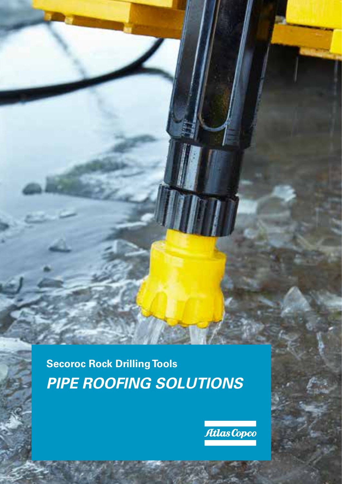**Secoroc Rock Drilling Tools** *PIPE ROOFING SOLUTIONS*

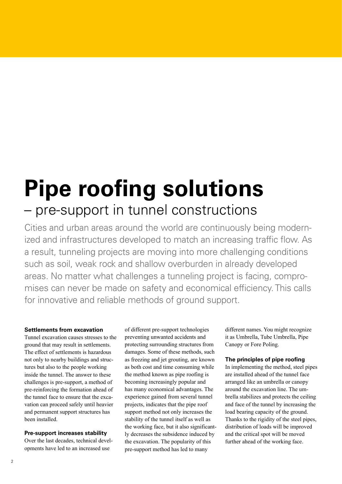# **Pipe roofing solutions** – pre-support in tunnel constructions

Cities and urban areas around the world are continuously being modernized and infrastructures developed to match an increasing traffic flow. As a result, tunneling projects are moving into more challenging conditions such as soil, weak rock and shallow overburden in already developed areas. No matter what challenges a tunneling project is facing, compromises can never be made on safety and economical efficiency. This calls for innovative and reliable methods of ground support.

#### **Settlements from excavation**

Tunnel excavation causes stresses to the ground that may result in settlements. The effect of settlements is hazardous not only to nearby buildings and structures but also to the people working inside the tunnel. The answer to these challenges is pre-support, a method of pre-reinforcing the formation ahead of the tunnel face to ensure that the excavation can proceed safely until heavier and permanent support structures has been installed.

#### **Pre-support increases stability**

Over the last decades, technical developments have led to an increased use

of different pre-support technologies preventing unwanted accidents and protecting surrounding structures from damages. Some of these methods, such as freezing and jet grouting, are known as both cost and time consuming while the method known as pipe roofing is becoming increasingly popular and has many economical advantages. The experience gained from several tunnel projects, indicates that the pipe roof support method not only increases the stability of the tunnel itself as well as the working face, but it also significantly decreases the subsidence induced by the excavation. The popularity of this pre-support method has led to many

different names. You might recognize it as Umbrella, Tube Umbrella, Pipe Canopy or Fore Poling.

#### **The principles of pipe roofing**

In implementing the method, steel pipes are installed ahead of the tunnel face arranged like an umbrella or canopy around the excavation line. The umbrella stabilizes and protects the ceiling and face of the tunnel by increasing the load bearing capacity of the ground. Thanks to the rigidity of the steel pipes, distribution of loads will be improved and the critical spot will be moved further ahead of the working face.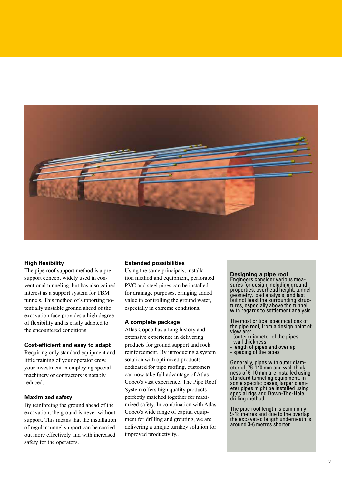

#### **High flexibility**

The pipe roof support method is a presupport concept widely used in conventional tunneling, but has also gained interest as a support system for TBM tunnels. This method of supporting potentially unstable ground ahead of the excavation face provides a high degree of flexibility and is easily adapted to the encountered conditions.

#### **Cost-efficient and easy to adapt**

Requiring only standard equipment and little training of your operator crew, your investment in employing special machinery or contractors is notably reduced.

#### **Maximized safety**

By reinforcing the ground ahead of the excavation, the ground is never without support. This means that the installation of regular tunnel support can be carried out more effectively and with increased safety for the operators.

#### **Extended possibilities**

Using the same principals, installation method and equipment, perforated PVC and steel pipes can be installed for drainage purposes, bringing added value in controlling the ground water, especially in extreme conditions.

#### **A complete package**

Atlas Copco has a long history and extensive experience in delivering products for ground support and rock reinforcement. By introducing a system solution with optimized products dedicated for pipe roofing, customers can now take full advantage of Atlas Copco's vast experience. The Pipe Roof System offers high quality products perfectly matched together for maximized safety. In combination with Atlas Copco's wide range of capital equipment for drilling and grouting, we are delivering a unique turnkey solution for improved productivity..

**Designing a pipe roof**<br>**Engineers consider various mea**sures for design including ground properties, overhead height, tunnel geometry, load analysis, and last<br>but not least the surrounding structures, especially above the tunnel with regards to settlement analysis.

The most critical specifications of the pipe roof, from a design point of view are:

- (outer) diameter of the pipes
- wall thickness
- length of pipes and overlap
- spacing of the pipes

Generally, pipes with outer diam- eter of 76-140 mm and wall thick- ness of 6-10 mm are installed using standard tunneling equipment. In<br>some specific cases, larger diameter pipes might be installed using special rigs and Down-The-Hole drilling method.

The pipe roof length is commonly 9-18 metres and due to the overlap the excavated length underneath is around 3-6 metres shorter.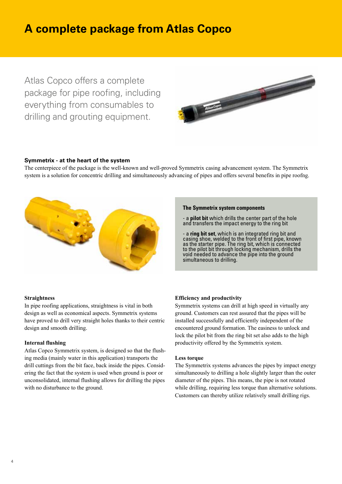### **A complete package from Atlas Copco**

Atlas Copco offers a complete package for pipe roofing, including everything from consumables to drilling and grouting equipment.



#### **Symmetrix - at the heart of the system**

The centerpiece of the package is the well-known and well-proved Symmetrix casing advancement system. The Symmetrix system is a solution for concentric drilling and simultaneously advancing of pipes and offers several benefits in pipe roofng.



#### **The Symmetrix system components**

- a **pilot bit** which drills the center part of the hole and transfers the impact energy to the ring bit

- a **ring bit set**, which is an integrated ring bit and casing shoe, welded to the front of first pipe, known as the starter pipe. The ring bit, which is connected to the pilot bit through locking mechanism, drills the void needed to advance the pipe into the ground simultaneous to drilling.

#### **Straightness**

In pipe roofing applications, straightness is vital in both design as well as economical aspects. Symmetrix systems have proved to drill very straight holes thanks to their centric design and smooth drilling.

#### **Internal flushing**

Atlas Copco Symmetrix system, is designed so that the flushing media (mainly water in this application) transports the drill cuttings from the bit face, back inside the pipes. Considering the fact that the system is used when ground is poor or unconsolidated, internal flushing allows for drilling the pipes with no disturbance to the ground.

#### **Efficiency and productivity**

Symmetrix systems can drill at high speed in virtually any ground. Customers can rest assured that the pipes will be installed successfully and efficiently independent of the encountered ground formation. The easiness to unlock and lock the pilot bit from the ring bit set also adds to the high productivity offered by the Symmetrix system.

#### **Less torque**

The Symmetrix systems advances the pipes by impact energy simultaneously to drilling a hole slightly larger than the outer diameter of the pipes. This means, the pipe is not rotated while drilling, requiring less torque than alternative solutions. Customers can thereby utilize relatively small drilling rigs.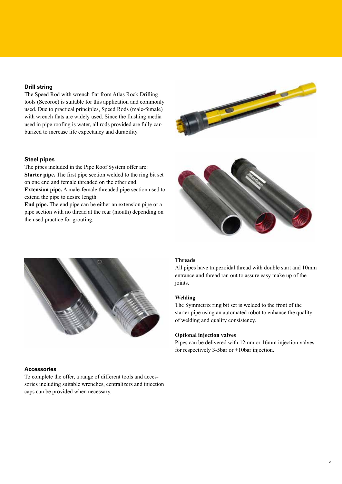#### **Drill string**

The Speed Rod with wrench flat from Atlas Rock Drilling tools (Secoroc) is suitable for this application and commonly used. Due to practical principles, Speed Rods (male-female) with wrench flats are widely used. Since the flushing media used in pipe roofing is water, all rods provided are fully carburized to increase life expectancy and durability.

#### **Steel pipes**

The pipes included in the Pipe Roof System offer are: **Starter pipe.** The first pipe section welded to the ring bit set on one end and female threaded on the other end.

**Extension pipe.** A male-female threaded pipe section used to extend the pipe to desire length.

**End pipe.** The end pipe can be either an extension pipe or a pipe section with no thread at the rear (mouth) depending on the used practice for grouting.







#### **Accessories**

To complete the offer, a range of different tools and accessories including suitable wrenches, centralizers and injection caps can be provided when necessary.

### **Threads**

All pipes have trapezoidal thread with double start and 10mm entrance and thread ran out to assure easy make up of the joints.

#### **Welding**

The Symmetrix ring bit set is welded to the front of the starter pipe using an automated robot to enhance the quality of welding and quality consistency.

#### **Optional injection valves**

Pipes can be delivered with 12mm or 16mm injection valves for respectively 3-5bar or +10bar injection.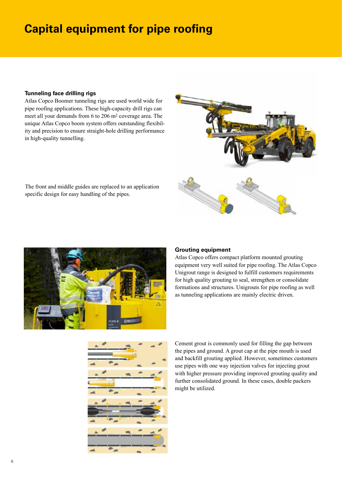### **Capital equipment for pipe roofing**

#### **Tunneling face drilling rigs**

Atlas Copco Boomer tunneling rigs are used world wide for pipe roofing applications. These high-capacity drill rigs can meet all your demands from 6 to 206 m2 coverage area. The unique Atlas Copco boom system offers outstanding flexibility and precision to ensure straight-hole drilling performance in high-quality tunnelling.



The front and middle guides are replaced to an application specific design for easy handling of the pipes.



#### **Grouting equipment**

Atlas Copco offers compact platform mounted grouting equipment very well suited for pipe roofing. The Atlas Copco Unigrout range is designed to fulfill customers requirements for high quality grouting to seal, strengthen or consolidate formations and structures. Unigrouts for pipe roofing as well as tunneling applications are mainly electric driven.



Cement grout is commonly used for filling the gap between the pipes and ground. A grout cap at the pipe mouth is used and backfill grouting applied. However, sometimes customers use pipes with one way injection valves for injecting grout with higher pressure providing improved grouting quality and further consolidated ground. In these cases, double packers might be utilized.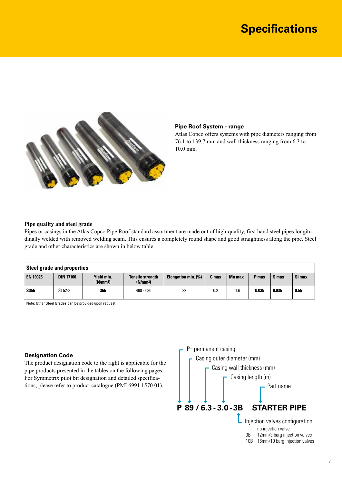### **Specifications**



#### **Pipe Roof System - range**

Atlas Copco offers systems with pipe diameters ranging from 76.1 to 139.7 mm and wall thickness ranging from 6.3 to 10.0 mm.

#### **Pipe quality and steel grade**

Pipes or casings in the Atlas Copco Pipe Roof standard assortment are made out of high-quality, first hand steel pipes longitudinally welded with removed welding seam. This ensures a completely round shape and good straightness along the pipe. Steel grade and other characteristics are shown in below table.

| <b>Steel grade and properties</b> |                  |                                    |                                                 |                            |       |               |       |       |        |
|-----------------------------------|------------------|------------------------------------|-------------------------------------------------|----------------------------|-------|---------------|-------|-------|--------|
| <b>EN 10025</b>                   | <b>DIN 17100</b> | Yield min.<br>(N/mm <sup>2</sup> ) | <b>Tensile strength</b><br>(N/mm <sup>2</sup> ) | <b>Elongation min. (%)</b> | C max | <b>Mn max</b> | P max | S max | Si max |
| S355                              | St 52-3          | 355                                | 490 - 630                                       | 22                         | 0.2   | . 6           | 0.035 | 0.035 | 0.55   |

Note: Other Steel Grades can be provided upon request

#### **Designation Code**

The product designation code to the right is applicable for the pipe products presented in the tables on the following pages. For Symmetrix pilot bit designation and detailed specifications, please refer to product catalogue (PMI 6991 1570 01).

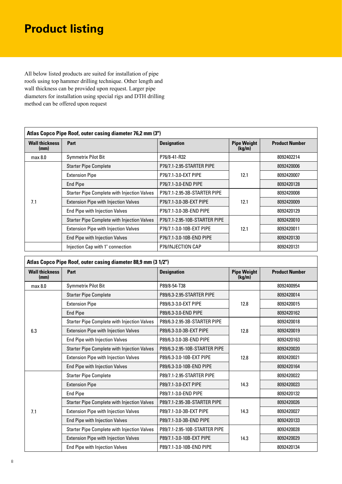## **Product listing**

All below listed products are suited for installation of pipe roofs using top hammer drilling technique. Other length and wall thickness can be provided upon request. Larger pipe diameters for installation using special rigs and DTH drilling method can be offered upon request

| Atlas Copco Pipe Roof, outer casing diameter 76,2 mm (3") |                                                                                     |                              |                              |                       |  |
|-----------------------------------------------------------|-------------------------------------------------------------------------------------|------------------------------|------------------------------|-----------------------|--|
| <b>Wall thickness</b><br>(mm)                             | Part                                                                                | <b>Designation</b>           | <b>Pipe Weight</b><br>(kg/m) | <b>Product Number</b> |  |
| max 8.0                                                   | <b>Symmetrix Pilot Bit</b>                                                          | P76/8-41-R32                 |                              | 8092402214            |  |
|                                                           | <b>Starter Pipe Complete</b>                                                        | P76/7.1-2.95-STARTER PIPE    |                              | 8092420006            |  |
|                                                           | <b>Extension Pipe</b>                                                               | P76/7.1-3.0-EXT PIPE         | 12.1                         | 8092420007            |  |
|                                                           | <b>End Pipe</b>                                                                     | P76/7.1-3.0-END PIPE         |                              | 8092420128            |  |
|                                                           | <b>Starter Pipe Complete with Injection Valves</b>                                  | P76/7.1-2.95-3B-STARTER PIPE |                              | 8092420008            |  |
| 7.1                                                       | <b>Extension Pipe with Injection Valves</b>                                         | P76/7.1-3.0-3B-EXT PIPE      | 12.1                         | 8092420009            |  |
|                                                           | End Pipe with Injection Valves                                                      | P76/7.1-3.0-3B-END PIPE      |                              | 8092420129            |  |
|                                                           | <b>Starter Pipe Complete with Injection Valves</b><br>P76/7.1-2.95-10B-STARTER PIPE |                              |                              | 8092420010            |  |
|                                                           | <b>Extension Pipe with Injection Valves</b>                                         | P76/7.1-3.0-10B-EXT PIPE     | 12.1                         | 8092420011            |  |
|                                                           | End Pipe with Injection Valves                                                      | P76/7.1-3.0-10B-END PIPE     |                              | 8092420130            |  |
|                                                           | Injection Cap with 1" connection                                                    | P76/INJECTION CAP            |                              | 8092420131            |  |

| Atlas Copco Pipe Roof, outer casing diameter 88,9 mm (3 1/2") |                                                    |                               |                              |                       |  |  |
|---------------------------------------------------------------|----------------------------------------------------|-------------------------------|------------------------------|-----------------------|--|--|
| <b>Wall thickness</b><br>(mm)                                 | Part                                               | <b>Designation</b>            | <b>Pipe Weight</b><br>(kg/m) | <b>Product Number</b> |  |  |
| max 8.0                                                       | <b>Symmetrix Pilot Bit</b>                         | P89/8-54-T38                  |                              | 8092400954            |  |  |
|                                                               | <b>Starter Pipe Complete</b>                       | P89/6.3-2.95-STARTER PIPE     |                              | 8092420014            |  |  |
|                                                               | <b>Extension Pipe</b>                              | P89/6.3-3.0-EXT PIPE          | 12.8                         | 8092420015            |  |  |
|                                                               | <b>End Pipe</b>                                    | P89/6.3-3.0-END PIPE          |                              | 8092420162            |  |  |
|                                                               | <b>Starter Pipe Complete with Injection Valves</b> | P89/6.3-2.95-3B-STARTER PIPE  |                              | 8092420018            |  |  |
| 6.3                                                           | <b>Extension Pipe with Injection Valves</b>        | P89/6.3-3.0-3B-EXT PIPE       | 12.8                         | 8092420019            |  |  |
|                                                               | End Pipe with Injection Valves                     | P89/6.3-3.0-3B-END PIPE       |                              | 8092420163            |  |  |
|                                                               | <b>Starter Pipe Complete with Injection Valves</b> | P89/6.3-2.95-10B-STARTER PIPE |                              | 8092420020            |  |  |
|                                                               | <b>Extension Pipe with Injection Valves</b>        | P89/6.3-3.0-10B-EXT PIPE      | 12.8                         | 8092420021            |  |  |
|                                                               | End Pipe with Injection Valves                     | P89/6.3-3.0-10B-END PIPE      |                              | 8092420164            |  |  |
|                                                               | <b>Starter Pipe Complete</b>                       | P89/7.1-2.95-STARTER PIPE     |                              | 8092420022            |  |  |
|                                                               | <b>Extension Pipe</b>                              | P89/7.1-3.0-EXT PIPE          | 14.3                         | 8092420023            |  |  |
|                                                               | <b>End Pipe</b>                                    | P89/7.1-3.0-END PIPE          |                              | 8092420132            |  |  |
|                                                               | Starter Pipe Complete with Injection Valves        | P89/7.1-2.95-3B-STARTER PIPE  |                              | 8092420026            |  |  |
| 7.1                                                           | <b>Extension Pipe with Injection Valves</b>        | P89/7.1-3.0-3B-EXT PIPE       | 14.3                         | 8092420027            |  |  |
|                                                               | End Pipe with Injection Valves                     | P89/7.1-3.0-3B-END PIPE       |                              | 8092420133            |  |  |
|                                                               | <b>Starter Pipe Complete with Injection Valves</b> | P89/7.1-2.95-10B-STARTER PIPE |                              | 8092420028            |  |  |
|                                                               | <b>Extension Pipe with Injection Valves</b>        | P89/7.1-3.0-10B-EXT PIPE      | 14.3                         | 8092420029            |  |  |
|                                                               | End Pipe with Injection Valves                     | P89/7.1-3.0-10B-END PIPE      |                              | 8092420134            |  |  |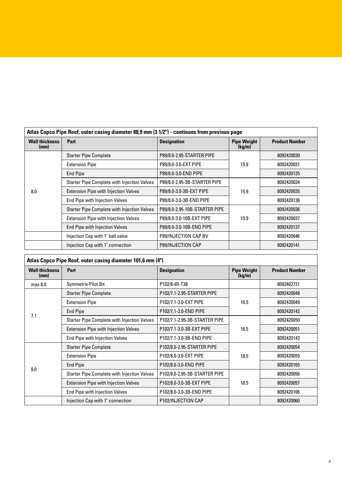| Atlas Copco Pipe Roof, outer casing diameter 88,9 mm (3 1/2") - continues from previous page |                                                           |                               |                              |                       |  |  |
|----------------------------------------------------------------------------------------------|-----------------------------------------------------------|-------------------------------|------------------------------|-----------------------|--|--|
| <b>Wall thickness</b><br>(mm)                                                                | Part                                                      | <b>Designation</b>            | <b>Pipe Weight</b><br>(kg/m) | <b>Product Number</b> |  |  |
|                                                                                              | <b>Starter Pipe Complete</b><br>P89/8.0-2.95-STARTER PIPE |                               |                              | 8092420030            |  |  |
|                                                                                              | <b>Extension Pipe</b>                                     | P89/8.0-3.0-EXT PIPE          | 15.9                         | 8092420031            |  |  |
|                                                                                              | <b>End Pipe</b>                                           | P89/8.0-3.0-END PIPE          |                              | 8092420135            |  |  |
|                                                                                              | <b>Starter Pipe Complete with Injection Valves</b>        | P89/8.0-2.95-3B-STARTER PIPE  |                              | 8092420034            |  |  |
| 8.0                                                                                          | <b>Extension Pipe with Injection Valves</b>               | P89/8.0-3.0-3B-EXT PIPE       | 15.9                         | 8092420035            |  |  |
|                                                                                              | End Pipe with Injection Valves                            | P89/8.0-3.0-3B-END PIPE       |                              | 8092420136            |  |  |
|                                                                                              | <b>Starter Pipe Complete with Injection Valves</b>        | P89/8.0-2.95-10B-STARTER PIPE |                              | 8092420036            |  |  |
|                                                                                              | <b>Extension Pipe with Injection Valves</b>               | P89/8.0-3.0-10B-EXT PIPE      | 15.9                         | 8092420037            |  |  |
|                                                                                              | End Pipe with Injection Valves                            | P89/8.0-3.0-10B-END PIPE      |                              | 8092420137            |  |  |
|                                                                                              | Injection Cap with 1" ball valve                          | P89/INJECTION CAP BV          |                              | 8092420046            |  |  |
|                                                                                              | Injection Cap with 1" connection                          | P89/INJECTION CAP             |                              | 8092420141            |  |  |

 $\Gamma$ 

| Atlas Copco Pipe Roof, outer casing diameter 101,6 mm (4") |                                                    |                                                                   |                              |                       |  |
|------------------------------------------------------------|----------------------------------------------------|-------------------------------------------------------------------|------------------------------|-----------------------|--|
| <b>Wall thickness</b><br>(mm)                              | Part                                               | <b>Designation</b>                                                | <b>Pipe Weight</b><br>(kg/m) | <b>Product Number</b> |  |
| max 8.0                                                    | Symmetrix Pilot Bit                                | P102/8-65-T38                                                     |                              | 8092402721            |  |
|                                                            | <b>Starter Pipe Complete</b>                       | P102/7.1-2.95-STARTER PIPE                                        |                              | 8092420048            |  |
|                                                            | <b>Extension Pipe</b>                              | P102/7.1-3.0-EXT PIPE                                             | 16.5                         | 8092420049            |  |
| 7.1                                                        | End Pipe                                           | P102/7,1-3.0-END PIPE                                             |                              | 8092420142            |  |
|                                                            | <b>Starter Pipe Complete with Injection Valves</b> | P102/7.1-2.95-3B-STARTER PIPE                                     |                              | 8092420050            |  |
|                                                            | <b>Extension Pipe with Injection Valves</b>        | P102/7.1-3.0-3B-EXT PIPE                                          | 16.5                         | 8092420051            |  |
|                                                            | End Pipe with Injection Valves                     | P102/7.1-3.0-3B-END PIPE                                          |                              | 8092420143            |  |
|                                                            | <b>Starter Pipe Complete</b>                       | P102/8.0-2.95-STARTER PIPE                                        |                              | 8092420054            |  |
|                                                            | <b>Extension Pipe</b>                              | P102/8.0-3.0-EXT PIPE                                             | 18.5                         | 8092420055            |  |
|                                                            | End Pipe                                           | P102/8.0-3.0-END PIPE                                             |                              | 8092420165            |  |
| 8.0                                                        | <b>Starter Pipe Complete with Injection Valves</b> | P102/8.0-2.95-3B-STARTER PIPE<br>P102/8.0-3.0-3B-EXT PIPE<br>18.5 |                              | 8092420056            |  |
|                                                            | <b>Extension Pipe with Injection Valves</b>        |                                                                   |                              | 8092420057            |  |
|                                                            | End Pipe with Injection Valves                     | P102/8.0-3.0-3B-END PIPE                                          |                              |                       |  |
|                                                            | Injection Cap with 1" connection                   | P102/INJECTION CAP                                                |                              | 8092420060            |  |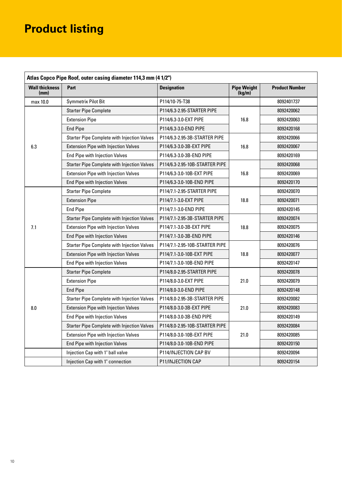## **Product listing**

| Atlas Copco Pipe Roof, outer casing diameter 114,3 mm (4 1/2") |                                                    |                                |                              |                       |  |  |
|----------------------------------------------------------------|----------------------------------------------------|--------------------------------|------------------------------|-----------------------|--|--|
| <b>Wall thickness</b><br>(mm)                                  | Part                                               | <b>Designation</b>             | <b>Pipe Weight</b><br>(kg/m) | <b>Product Number</b> |  |  |
| max 10.0                                                       | <b>Symmetrix Pilot Bit</b>                         | P114/10-75-T38                 |                              | 8092401737            |  |  |
|                                                                | <b>Starter Pipe Complete</b>                       | P114/6.3-2.95-STARTER PIPE     |                              | 8092420062            |  |  |
|                                                                | <b>Extension Pipe</b>                              | P114/6.3-3.0-EXT PIPE          | 16.8                         | 8092420063            |  |  |
|                                                                | <b>End Pipe</b>                                    | P114/6.3-3.0-END PIPE          |                              | 8092420168            |  |  |
|                                                                | <b>Starter Pipe Complete with Injection Valves</b> | P114/6.3-2.95-3B-STARTER PIPE  |                              | 8092420066            |  |  |
| 6.3                                                            | <b>Extension Pipe with Injection Valves</b>        | P114/6.3-3.0-3B-EXT PIPE       | 16.8                         | 8092420067            |  |  |
|                                                                | End Pipe with Injection Valves                     | P114/6.3-3.0-3B-END PIPE       |                              | 8092420169            |  |  |
|                                                                | <b>Starter Pipe Complete with Injection Valves</b> | P114/6.3-2.95-10B-STARTER PIPE |                              | 8092420068            |  |  |
|                                                                | <b>Extension Pipe with Injection Valves</b>        | P114/6.3-3.0-10B-EXT PIPE      | 16.8                         | 8092420069            |  |  |
|                                                                | End Pipe with Injection Valves                     | P114/6.3-3.0-10B-END PIPE      |                              | 8092420170            |  |  |
|                                                                | <b>Starter Pipe Complete</b>                       | P114/7.1-2.95-STARTER PIPE     |                              | 8092420070            |  |  |
|                                                                | <b>Extension Pipe</b>                              | P114/7.1-3.0-EXT PIPE          | 18.8                         | 8092420071            |  |  |
|                                                                | <b>End Pipe</b>                                    | P114/7.1-3.0-END PIPE          |                              | 8092420145            |  |  |
|                                                                | <b>Starter Pipe Complete with Injection Valves</b> | P114/7.1-2.95-3B-STARTER PIPE  |                              | 8092420074            |  |  |
| 7.1                                                            | <b>Extension Pipe with Injection Valves</b>        | P114/7.1-3.0-3B-EXT PIPE       | 18.8                         | 8092420075            |  |  |
|                                                                | End Pipe with Injection Valves                     | P114/7.1-3.0-3B-END PIPE       |                              | 8092420146            |  |  |
|                                                                | <b>Starter Pipe Complete with Injection Valves</b> | P114/7.1-2.95-10B-STARTER PIPE |                              | 8092420076            |  |  |
|                                                                | <b>Extension Pipe with Injection Valves</b>        | P114/7.1-3.0-10B-EXT PIPE      | 18.8                         | 8092420077            |  |  |
|                                                                | End Pipe with Injection Valves                     | P114/7.1-3.0-10B-END PIPE      |                              | 8092420147            |  |  |
|                                                                | <b>Starter Pipe Complete</b>                       | P114/8.0-2.95-STARTER PIPE     |                              | 8092420078            |  |  |
|                                                                | <b>Extension Pipe</b>                              | P114/8.0-3.0-EXT PIPE          | 21.0                         | 8092420079            |  |  |
|                                                                | <b>End Pipe</b>                                    | P114/8.0-3.0-END PIPE          |                              | 8092420148            |  |  |
|                                                                | <b>Starter Pipe Complete with Injection Valves</b> | P114/8.0-2.95-3B-STARTER PIPE  |                              | 8092420082            |  |  |
| 8.0                                                            | <b>Extension Pipe with Injection Valves</b>        | P114/8.0-3.0-3B-EXT PIPE       | 21.0                         | 8092420083            |  |  |
|                                                                | <b>End Pipe with Injection Valves</b>              | P114/8.0-3.0-3B-END PIPE       |                              | 8092420149            |  |  |
|                                                                | <b>Starter Pipe Complete with Injection Valves</b> | P114/8.0-2.95-10B-STARTER PIPE |                              | 8092420084            |  |  |
|                                                                | <b>Extension Pipe with Injection Valves</b>        | P114/8.0-3.0-10B-EXT PIPE      | 21.0                         | 8092420085            |  |  |
|                                                                | End Pipe with Injection Valves                     | P114/8.0-3.0-10B-END PIPE      |                              | 8092420150            |  |  |
|                                                                | Injection Cap with 1" ball valve                   | P114/INJECTION CAP BV          |                              | 8092420094            |  |  |
|                                                                | Injection Cap with 1" connection                   | P11/INJECTION CAP              |                              | 8092420154            |  |  |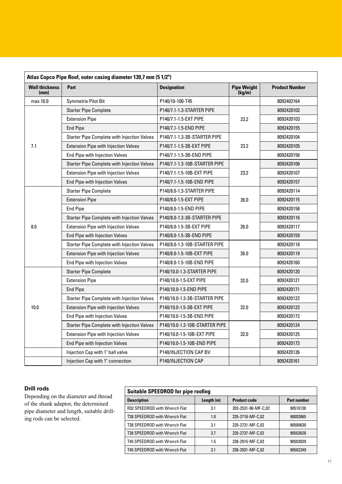| Atlas Copco Pipe Roof, outer casing diameter 139,7 mm (5 1/2") |                                                    |                                |                              |                       |  |  |
|----------------------------------------------------------------|----------------------------------------------------|--------------------------------|------------------------------|-----------------------|--|--|
| <b>Wall thickness</b><br>(mm)                                  | Part<br><b>Designation</b>                         |                                | <b>Pipe Weight</b><br>(kg/m) | <b>Product Number</b> |  |  |
| max 10.0                                                       | <b>Symmetrix Pilot Bit</b>                         | P140/10-100-T45                |                              | 8092402164            |  |  |
|                                                                | <b>Starter Pipe Complete</b>                       | P140/7.1-1.3-STARTER PIPE      |                              | 8092420102            |  |  |
|                                                                | <b>Extension Pipe</b>                              | P140/7.1-1.5-EXT PIPE          | 23.2                         | 8092420103            |  |  |
|                                                                | <b>End Pipe</b>                                    | P140/7.1-1.5-END PIPE          |                              | 8092420155            |  |  |
|                                                                | <b>Starter Pipe Complete with Injection Valves</b> | P140/7.1-1.3-3B-STARTER PIPE   |                              | 8092420104            |  |  |
| 7.1                                                            | <b>Extension Pipe with Injection Valves</b>        | P140/7.1-1.5-3B-EXT PIPE       | 23.2                         | 8092420105            |  |  |
|                                                                | <b>End Pipe with Injection Valves</b>              | P140/7.1-1.5-3B-END PIPE       |                              | 8092420156            |  |  |
|                                                                | <b>Starter Pipe Complete with Injection Valves</b> | P140/7.1-1.3-10B-STARTER PIPE  |                              | 8092420106            |  |  |
|                                                                | <b>Extension Pipe with Injection Valves</b>        | P140/7.1-1.5-10B-EXT PIPE      | 23.2                         | 8092420107            |  |  |
|                                                                | <b>End Pipe with Injection Valves</b>              | P140/7.1-1.5-10B-END PIPE      |                              | 8092420157            |  |  |
|                                                                | <b>Starter Pipe Complete</b>                       | P140/8.0-1.3-STARTER PIPE      |                              | 8092420114            |  |  |
|                                                                | <b>Extension Pipe</b>                              | P140/8.0-1.5-EXT PIPE          | 26.0                         | 8092420115            |  |  |
|                                                                | <b>End Pipe</b>                                    | P140/8.0-1.5-END PIPE          |                              | 8092420158            |  |  |
|                                                                | <b>Starter Pipe Complete with Injection Valves</b> | P140/8.0-1.3-3B-STARTER PIPE   |                              | 8092420116            |  |  |
| 8.0                                                            | <b>Extension Pipe with Injection Valves</b>        | P140/8.0-1.5-3B-EXT PIPE       | 26.0                         | 8092420117            |  |  |
|                                                                | <b>End Pipe with Injection Valves</b>              | P140/8.0-1.5-3B-END PIPE       |                              | 8092420159            |  |  |
|                                                                | <b>Starter Pipe Complete with Injection Valves</b> | P140/8.0-1.3-10B-STARTER PIPE  |                              | 8092420118            |  |  |
|                                                                | <b>Extension Pipe with Injection Valves</b>        | P140/8.0-1.5-10B-EXT PIPE      | 26.0                         | 8092420119            |  |  |
|                                                                | End Pipe with Injection Valves                     | P140/8.0-1.5-10B-END PIPE      |                              | 8092420160            |  |  |
|                                                                | <b>Starter Pipe Complete</b>                       | P140/10.0-1.3-STARTER PIPE     |                              | 8092420120            |  |  |
|                                                                | <b>Extension Pipe</b>                              | P140/10.0-1.5-EXT PIPE         | 32.0                         | 8092420121            |  |  |
|                                                                | <b>End Pipe</b>                                    | P140/10.0-1.5-END PIPE         |                              | 8092420171            |  |  |
|                                                                | <b>Starter Pipe Complete with Injection Valves</b> | P140/10.0-1.3-3B-STARTER PIPE  |                              | 8092420122            |  |  |
| 10.0                                                           | <b>Extension Pipe with Injection Valves</b>        | P140/10.0-1.5-3B-EXT PIPE      | 32.0                         | 8092420123            |  |  |
|                                                                | End Pipe with Injection Valves                     | P140/10.0-1.5-3B-END PIPE      |                              | 8092420172            |  |  |
|                                                                | <b>Starter Pipe Complete with Injection Valves</b> | P140/10.0-1.3-10B-STARTER PIPE |                              | 8092420124            |  |  |
|                                                                | <b>Extension Pipe with Injection Valves</b>        | P140/10.0-1.5-10B-EXT PIPE     | 32.0                         | 8092420125            |  |  |
|                                                                | <b>End Pipe with Injection Valves</b>              | P140/10.0-1.5-10B-END PIPE     |                              | 8092420173            |  |  |
|                                                                | Injection Cap with 1" ball valve                   | P140/INJECTION CAP BV          |                              | 8092420126            |  |  |
|                                                                | Injection Cap with 1" connection                   | P140/INJECTION CAP             |                              | 8092420161            |  |  |

### **Drill rods**

Depending on the diameter and thread of the shank adaptor, the determined pipe diameter and length, suitable drilling rods can be selected.

| <b>Suitable SPEEDROD for pipe roofing</b> |              |                     |                    |  |  |
|-------------------------------------------|--------------|---------------------|--------------------|--|--|
| <b>Description</b>                        | Length $(m)$ | <b>Product code</b> | <b>Part number</b> |  |  |
| R32 SPEEDROD with Wrench Flat             | 3.1          | 203-2531-90-MF-C,02 | 90510130           |  |  |
| T38 SPEEDROD with Wrench Flat             | 1.8          | 235-2718-MF-C,02    | 90003065           |  |  |
| T38 SPEEDROD with Wrench Flat             | 3.1          | 235-2731-MF-C,02    | 90500630           |  |  |
| T38 SPEEDROD with Wrench Flat             | 3.7          | 235-2737-MF-C,02    | 90502628           |  |  |
| T45 SPEEDROD with Wrench Flat             | 1.5          | 236-2915-MF-C,02    | 90503039           |  |  |
| T45 SPEEDROD with Wrench Flat             | 3.1          | 236-2931-MF-C,02    | 90502249           |  |  |